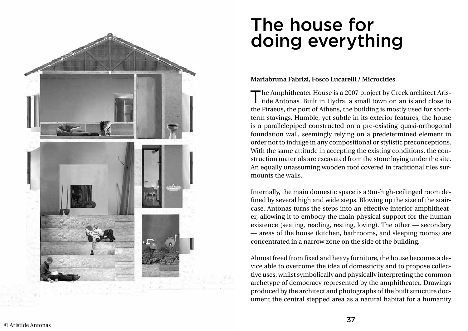

## The house for doing everything

## **Mariabruna Fabrizi, Fosco Lucarelli / Microcities**

The Amphitheater House is a 2007 project by Greek architect Aristide Antonas. Built in Hydra, a small town on an island close to The Amphitheater House is a 2007 project by Greek architect Aristhe Piraeus, the port of Athens, the building is mostly used for shortterm stayings. Humble, yet subtle in its exterior features, the house is a parallelepiped constructed on a pre-existing quasi-orthogonal foundation wall, seemingly relying on a predetermined element in order not to indulge in any compositional or stylistic preconceptions. With the same attitude in accepting the existing conditions, the con struction materials are excavated from the stone laying under the site. An equally unassuming wooden roof covered in traditional tiles sur mounts the walls.

Internally, the main domestic space is a 9m-high-ceilinged room de fined by several high and wide steps. Blowing up the size of the stair case, Antonas turns the steps into an effective interior amphitheat er, allowing it to embody the main physical support for the human existence (seating, reading, resting, loving). The other — secondary — areas of the house (kitchen, bathrooms, and sleeping rooms) are concentrated in a narrow zone on the side of the building.

Almost freed from fixed and heavy furniture, the house becomes a de vice able to overcome the idea of domesticity and to propose collec tive uses, whilst symbolically and physically interpreting the common archetype of democracy represented by the amphitheater. Drawings produced by the architect and photographs of the built structure doc ument the central stepped area as a natural habitat for a humanity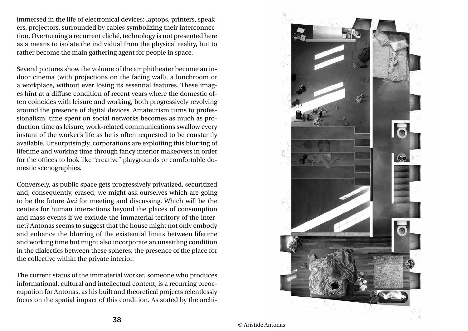

immersed in the life of electronical devices: laptops, printers, speakers, projectors, surrounded by cables symbolizing their interconnection. Overturning a recurrent cliché, technology is not presented here as a means to isolate the individual from the physical reality, but to rather become the main gathering agent for people in space.

Several pictures show the volume of the amphitheater become an indoor cinema (with projections on the facing wall), a lunchroom or a workplace, without ever losing its essential features. These images hint at a diffuse condition of recent years where the domestic often coincides with leisure and working, both progressively revolving around the presence of digital devices. Amateurism turns to professionalism, time spent on social networks becomes as much as production time as leisure, work-related communications swallow every instant of the worker's life as he is often requested to be constantly available. Unsurprisingly, corporations are exploiting this blurring of lifetime and working time through fancy interior makeovers in order for the offices to look like "creative" playgrounds or comfortable domestic scenographies.

Conversely, as public space gets progressively privatized, securitized and, consequently, erased, we might ask ourselves which are going to be the future *loci* for meeting and discussing. Which will be the centers for human interactions beyond the places of consumption and mass events if we exclude the immaterial territory of the internet? Antonas seems to suggest that the house might not only embody and enhance the blurring of the existential limits between lifetime and working time but might also incorporate an unsettling condition in the dialectics between these spheres: the presence of the place for the collective within the private interior.

The current status of the immaterial worker, someone who produces informational, cultural and intellectual content, is a recurring preoccupation for Antonas, as his built and theoretical projects relentlessly focus on the spatial impact of this condition. As stated by the archi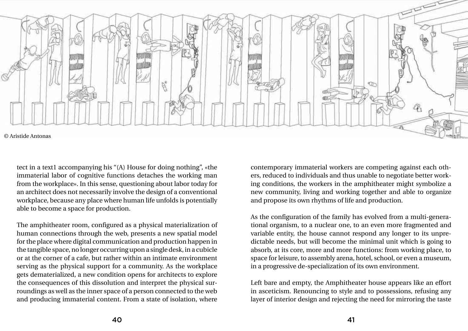tect in a text1 accompanying his "(A) House for doing nothing", «the immaterial labor of cognitive functions detaches the working man from the workplace». In this sense, questioning about labor today for an architect does not necessarily involve the design of a conventional workplace, because any place where human life unfolds is potentially able to become a space for production.

The amphitheater room, configured as a physical materialization of human connections through the web, presents a new spatial model for the place where digital communication and production happen in the tangible space, no longer occurring upon a single desk, in a cubicle or at the corner of a cafe, but rather within an intimate environment serving as the physical support for a community. As the workplace gets dematerialized, a new condition opens for architects to explore the consequences of this dissolution and interpret the physical surroundings as well as the inner space of a person connected to the web and producing immaterial content. From a state of isolation, where

contemporary immaterial workers are competing against each others, reduced to individuals and thus unable to negotiate better working conditions, the workers in the amphitheater might symbolize a new community, living and working together and able to organize and propose its own rhythms of life and production.

As the configuration of the family has evolved from a multi-generational organism, to a nuclear one, to an even more fragmented and variable entity, the house cannot respond any longer to its unpredictable needs, but will become the minimal unit which is going to absorb, at its core, more and more functions: from working place, to space for leisure, to assembly arena, hotel, school, or even a museum, in a progressive de-specialization of its own environment.

Left bare and empty, the Amphitheater house appears like an effort in asceticism. Renouncing to style and to possessions, refusing any layer of interior design and rejecting the need for mirroring the taste